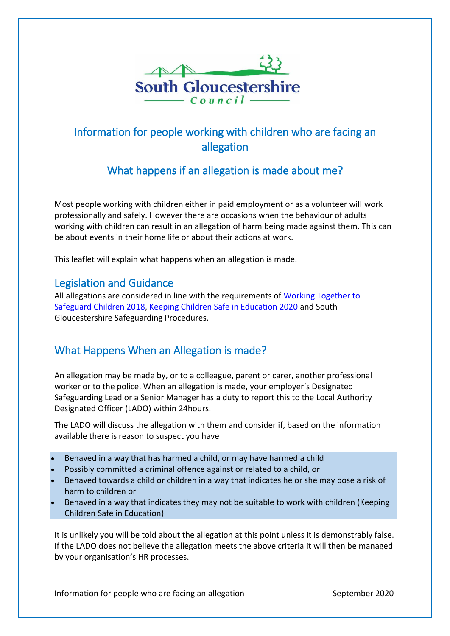

# Information for people working with children who are facing an allegation

## What happens if an allegation is made about me?

Most people working with children either in paid employment or as a volunteer will work professionally and safely. However there are occasions when the behaviour of adults working with children can result in an allegation of harm being made against them. This can be about events in their home life or about their actions at work.

This leaflet will explain what happens when an allegation is made.

#### Legislation and Guidance

All allegations are considered in line with the requirements of Working Together to [Safeguard Children 2018,](http://intranet/Legacy/Corporate/PhoneDirectory/new_oHSearch.asp?doit=doSearch&searchStr=14108&searchType=ap_getStaffByID&searchStatus=0) [Keeping Children Safe in Education 2020](https://assets.publishing.service.gov.uk/government/uploads/system/uploads/attachment_data/file/912592/Keeping_children_safe_in_education_Sep_2020.pdf) and South Gloucestershire Safeguarding Procedures.

## What Happens When an Allegation is made?

An allegation may be made by, or to a colleague, parent or carer, another professional worker or to the police. When an allegation is made, your employer's Designated Safeguarding Lead or a Senior Manager has a duty to report this to the Local Authority Designated Officer (LADO) within 24hours.

The LADO will discuss the allegation with them and consider if, based on the information available there is reason to suspect you have

- Behaved in a way that has harmed a child, or may have harmed a child
- Possibly committed a criminal offence against or related to a child, or
- Behaved towards a child or children in a way that indicates he or she may pose a risk of harm to children or
- Behaved in a way that indicates they may not be suitable to work with children (Keeping Children Safe in Education)

It is unlikely you will be told about the allegation at this point unless it is demonstrably false. If the LADO does not believe the allegation meets the above criteria it will then be managed by your organisation's HR processes.

Information for people who are facing an allegation September 2020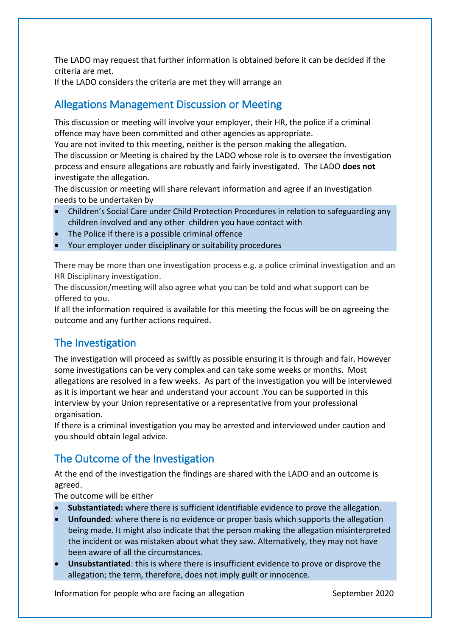The LADO may request that further information is obtained before it can be decided if the criteria are met.

If the LADO considers the criteria are met they will arrange an

## Allegations Management Discussion or Meeting

This discussion or meeting will involve your employer, their HR, the police if a criminal offence may have been committed and other agencies as appropriate.

You are not invited to this meeting, neither is the person making the allegation.

The discussion or Meeting is chaired by the LADO whose role is to oversee the investigation process and ensure allegations are robustly and fairly investigated. The LADO **does not** investigate the allegation.

The discussion or meeting will share relevant information and agree if an investigation needs to be undertaken by

- Children's Social Care under Child Protection Procedures in relation to safeguarding any children involved and any other children you have contact with
- The Police if there is a possible criminal offence
- Your employer under disciplinary or suitability procedures

There may be more than one investigation process e.g. a police criminal investigation and an HR Disciplinary investigation.

The discussion/meeting will also agree what you can be told and what support can be offered to you.

If all the information required is available for this meeting the focus will be on agreeing the outcome and any further actions required.

## The Investigation

The investigation will proceed as swiftly as possible ensuring it is through and fair. However some investigations can be very complex and can take some weeks or months. Most allegations are resolved in a few weeks. As part of the investigation you will be interviewed as it is important we hear and understand your account .You can be supported in this interview by your Union representative or a representative from your professional organisation.

If there is a criminal investigation you may be arrested and interviewed under caution and you should obtain legal advice.

## The Outcome of the Investigation

At the end of the investigation the findings are shared with the LADO and an outcome is agreed.

The outcome will be either

- **Substantiated:** where there is sufficient identifiable evidence to prove the allegation.
- **Unfounded**: where there is no evidence or proper basis which supports the allegation being made. It might also indicate that the person making the allegation misinterpreted the incident or was mistaken about what they saw. Alternatively, they may not have been aware of all the circumstances.
- **Unsubstantiated**: this is where there is insufficient evidence to prove or disprove the allegation; the term, therefore, does not imply guilt or innocence.

Information for people who are facing an allegation September 2020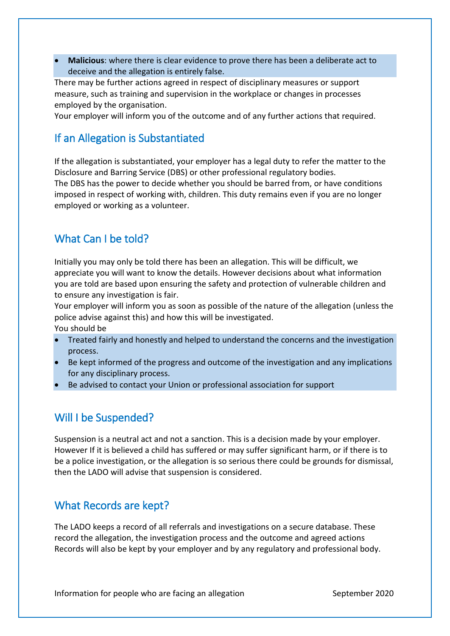**Malicious**: where there is clear evidence to prove there has been a deliberate act to deceive and the allegation is entirely false.

There may be further actions agreed in respect of disciplinary measures or support measure, such as training and supervision in the workplace or changes in processes employed by the organisation.

Your employer will inform you of the outcome and of any further actions that required.

## If an Allegation is Substantiated

If the allegation is substantiated, your employer has a legal duty to refer the matter to the Disclosure and Barring Service (DBS) or other professional regulatory bodies.

The DBS has the power to decide whether you should be barred from, or have conditions imposed in respect of working with, children. This duty remains even if you are no longer employed or working as a volunteer.

## What Can I be told?

Initially you may only be told there has been an allegation. This will be difficult, we appreciate you will want to know the details. However decisions about what information you are told are based upon ensuring the safety and protection of vulnerable children and to ensure any investigation is fair.

Your employer will inform you as soon as possible of the nature of the allegation (unless the police advise against this) and how this will be investigated. You should be

- Treated fairly and honestly and helped to understand the concerns and the investigation process.
- Be kept informed of the progress and outcome of the investigation and any implications for any disciplinary process.
- Be advised to contact your Union or professional association for support

#### Will I be Suspended?

Suspension is a neutral act and not a sanction. This is a decision made by your employer. However If it is believed a child has suffered or may suffer significant harm, or if there is to be a police investigation, or the allegation is so serious there could be grounds for dismissal, then the LADO will advise that suspension is considered.

#### What Records are kept?

The LADO keeps a record of all referrals and investigations on a secure database. These record the allegation, the investigation process and the outcome and agreed actions Records will also be kept by your employer and by any regulatory and professional body.